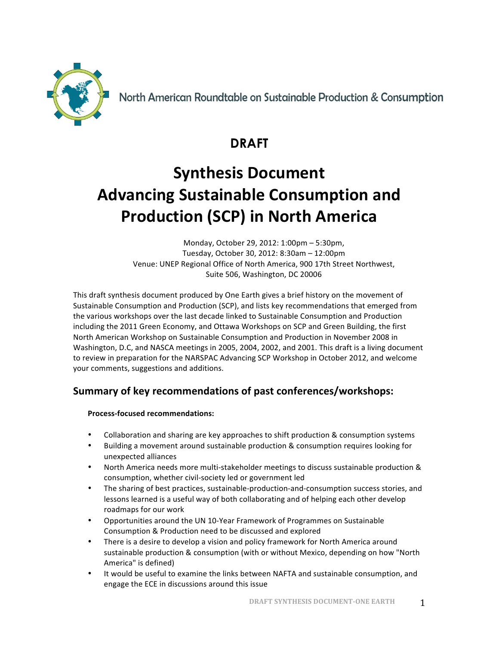

North American Roundtable on Sustainable Production & Consumption

## **DRAFT**

# **Synthesis Document Advancing Sustainable Consumption and Production (SCP) in North America**

Monday, October 29, 2012: 1:00pm - 5:30pm, Tuesday, October 30, 2012: 8:30am – 12:00pm Venue: UNEP Regional Office of North America, 900 17th Street Northwest, Suite 506, Washington, DC 20006

This draft synthesis document produced by One Earth gives a brief history on the movement of Sustainable Consumption and Production (SCP), and lists key recommendations that emerged from the various workshops over the last decade linked to Sustainable Consumption and Production including the 2011 Green Economy, and Ottawa Workshops on SCP and Green Building, the first North American Workshop on Sustainable Consumption and Production in November 2008 in Washington, D.C, and NASCA meetings in 2005, 2004, 2002, and 2001. This draft is a living document to review in preparation for the NARSPAC Advancing SCP Workshop in October 2012, and welcome your comments, suggestions and additions.

## **Summary of key recommendations of past conferences/workshops:**

#### **Process-focused recommendations:**

- Collaboration and sharing are key approaches to shift production & consumption systems
- Building a movement around sustainable production & consumption requires looking for unexpected alliances
- North America needs more multi-stakeholder meetings to discuss sustainable production & consumption, whether civil-society led or government led
- The sharing of best practices, sustainable-production-and-consumption success stories, and lessons learned is a useful way of both collaborating and of helping each other develop roadmaps for our work
- Opportunities around the UN 10-Year Framework of Programmes on Sustainable Consumption & Production need to be discussed and explored
- There is a desire to develop a vision and policy framework for North America around sustainable production & consumption (with or without Mexico, depending on how "North America" is defined)
- It would be useful to examine the links between NAFTA and sustainable consumption, and engage the ECE in discussions around this issue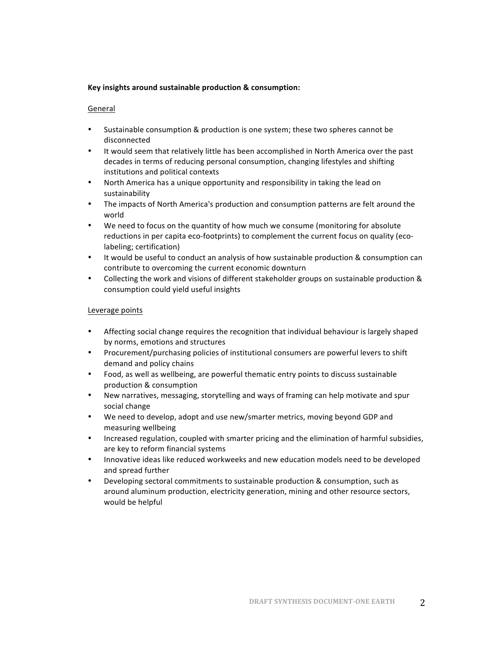#### Key insights around sustainable production & consumption:

#### General

- Sustainable consumption & production is one system; these two spheres cannot be disconnected
- It would seem that relatively little has been accomplished in North America over the past decades in terms of reducing personal consumption, changing lifestyles and shifting institutions and political contexts
- North America has a unique opportunity and responsibility in taking the lead on sustainability
- The impacts of North America's production and consumption patterns are felt around the world
- We need to focus on the quantity of how much we consume (monitoring for absolute reductions in per capita eco-footprints) to complement the current focus on quality (ecolabeling; certification)
- It would be useful to conduct an analysis of how sustainable production & consumption can contribute to overcoming the current economic downturn
- Collecting the work and visions of different stakeholder groups on sustainable production & consumption could yield useful insights

#### Leverage points

- Affecting social change requires the recognition that individual behaviour is largely shaped by norms, emotions and structures
- Procurement/purchasing policies of institutional consumers are powerful levers to shift demand and policy chains
- Food, as well as wellbeing, are powerful thematic entry points to discuss sustainable production & consumption
- New narratives, messaging, storytelling and ways of framing can help motivate and spur social change
- We need to develop, adopt and use new/smarter metrics, moving beyond GDP and measuring wellbeing
- Increased regulation, coupled with smarter pricing and the elimination of harmful subsidies, are key to reform financial systems
- Innovative ideas like reduced workweeks and new education models need to be developed and spread further
- Developing sectoral commitments to sustainable production & consumption, such as around aluminum production, electricity generation, mining and other resource sectors, would be helpful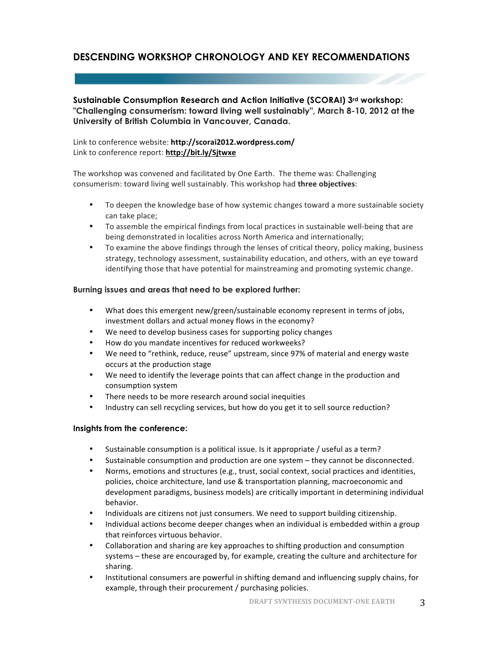### **DESCENDING WORKSHOP CHRONOLOGY AND KEY RECOMMENDATIONS**

**Sustainable Consumption Research and Action Initiative (SCORAI) 3rd workshop: "Challenging consumerism: toward living well sustainably", March 8-10, 2012 at the University of British Columbia in Vancouver, Canada.**

#### Link to conference website: http://scorai2012.wordpress.com/ Link to conference report: **http://bit.ly/Sjtwxe**

The workshop was convened and facilitated by One Earth. The theme was: Challenging consumerism: toward living well sustainably. This workshop had three objectives:

- To deepen the knowledge base of how systemic changes toward a more sustainable society can take place;
- To assemble the empirical findings from local practices in sustainable well-being that are being demonstrated in localities across North America and internationally;
- To examine the above findings through the lenses of critical theory, policy making, business strategy, technology assessment, sustainability education, and others, with an eye toward identifying those that have potential for mainstreaming and promoting systemic change.

#### **Burning issues and areas that need to be explored further:**

- What does this emergent new/green/sustainable economy represent in terms of jobs, investment dollars and actual money flows in the economy?
- We need to develop business cases for supporting policy changes
- How do you mandate incentives for reduced workweeks?
- We need to "rethink, reduce, reuse" upstream, since 97% of material and energy waste occurs at the production stage
- We need to identify the leverage points that can affect change in the production and consumption system
- There needs to be more research around social inequities
- Industry can sell recycling services, but how do you get it to sell source reduction?

#### **Insights from the conference:**

- Sustainable consumption is a political issue. Is it appropriate / useful as a term?
- Sustainable consumption and production are one system  $-$  they cannot be disconnected.
- Norms, emotions and structures (e.g., trust, social context, social practices and identities, policies, choice architecture, land use & transportation planning, macroeconomic and development paradigms, business models) are critically important in determining individual behavior.
- Individuals are citizens not just consumers. We need to support building citizenship.
- Individual actions become deeper changes when an individual is embedded within a group that reinforces virtuous behavior.
- Collaboration and sharing are key approaches to shifting production and consumption systems – these are encouraged by, for example, creating the culture and architecture for sharing.
- Institutional consumers are powerful in shifting demand and influencing supply chains, for example, through their procurement / purchasing policies.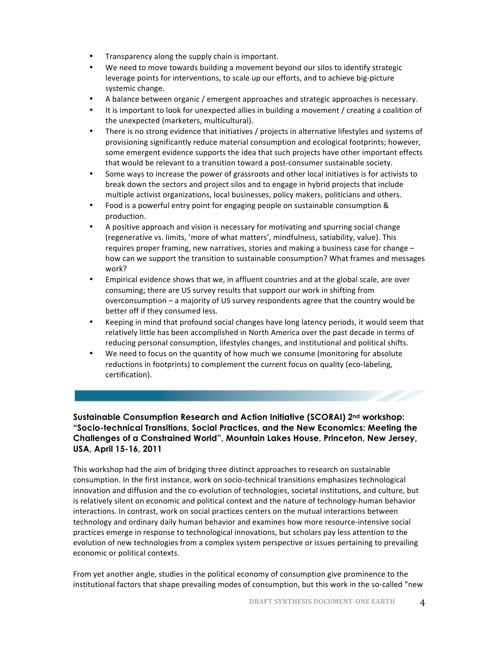- Transparency along the supply chain is important.
- We need to move towards building a movement beyond our silos to identify strategic leverage points for interventions, to scale up our efforts, and to achieve big-picture systemic change.
- A balance between organic / emergent approaches and strategic approaches is necessary.
- It is important to look for unexpected allies in building a movement / creating a coalition of the unexpected (marketers, multicultural).
- There is no strong evidence that initiatives / projects in alternative lifestyles and systems of provisioning significantly reduce material consumption and ecological footprints; however, some emergent evidence supports the idea that such projects have other important effects that would be relevant to a transition toward a post-consumer sustainable society.
- Some ways to increase the power of grassroots and other local initiatives is for activists to break down the sectors and project silos and to engage in hybrid projects that include multiple activist organizations, local businesses, policy makers, politicians and others.
- Food is a powerful entry point for engaging people on sustainable consumption & production.
- A positive approach and vision is necessary for motivating and spurring social change (regenerative vs. limits, 'more of what matters', mindfulness, satiability, value). This requires proper framing, new narratives, stories and making a business case for change  $$ how can we support the transition to sustainable consumption? What frames and messages work?
- Empirical evidence shows that we, in affluent countries and at the global scale, are over consuming; there are US survey results that support our work in shifting from overconsumption - a majority of US survey respondents agree that the country would be better off if they consumed less.
- Keeping in mind that profound social changes have long latency periods, it would seem that relatively little has been accomplished in North America over the past decade in terms of reducing personal consumption, lifestyles changes, and institutional and political shifts.
- We need to focus on the quantity of how much we consume (monitoring for absolute reductions in footprints) to complement the current focus on quality (eco-labeling, certification).

#### **Sustainable Consumption Research and Action Initiative (SCORAI) 2nd workshop: "Socio-technical Transitions, Social Practices, and the New Economics: Meeting the Challenges of a Constrained World", Mountain Lakes House, Princeton, New Jersey, USA, April 15-16, 2011**

This workshop had the aim of bridging three distinct approaches to research on sustainable consumption. In the first instance, work on socio-technical transitions emphasizes technological innovation and diffusion and the co-evolution of technologies, societal institutions, and culture, but is relatively silent on economic and political context and the nature of technology-human behavior interactions. In contrast, work on social practices centers on the mutual interactions between technology and ordinary daily human behavior and examines how more resource-intensive social practices emerge in response to technological innovations, but scholars pay less attention to the evolution of new technologies from a complex system perspective or issues pertaining to prevailing economic or political contexts.

From yet another angle, studies in the political economy of consumption give prominence to the institutional factors that shape prevailing modes of consumption, but this work in the so-called "new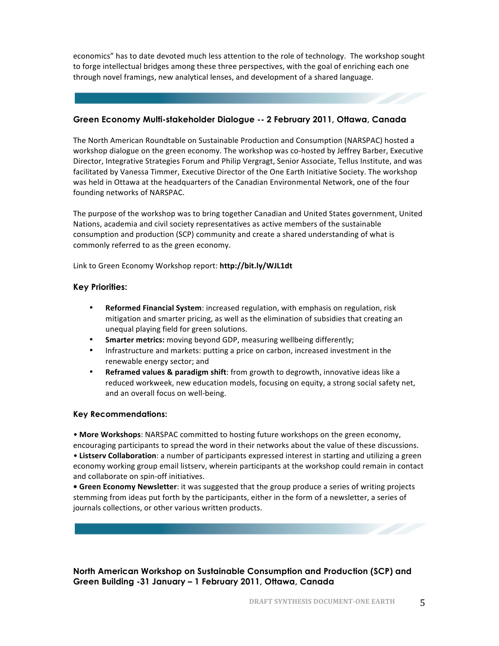economics" has to date devoted much less attention to the role of technology. The workshop sought to forge intellectual bridges among these three perspectives, with the goal of enriching each one through novel framings, new analytical lenses, and development of a shared language.

#### **Green Economy Multi-stakeholder Dialogue -- 2 February 2011, Ottawa, Canada**

The North American Roundtable on Sustainable Production and Consumption (NARSPAC) hosted a workshop dialogue on the green economy. The workshop was co-hosted by Jeffrey Barber, Executive Director, Integrative Strategies Forum and Philip Vergragt, Senior Associate, Tellus Institute, and was facilitated by Vanessa Timmer, Executive Director of the One Earth Initiative Society. The workshop was held in Ottawa at the headquarters of the Canadian Environmental Network, one of the four founding networks of NARSPAC.

The purpose of the workshop was to bring together Canadian and United States government, United Nations, academia and civil society representatives as active members of the sustainable consumption and production (SCP) community and create a shared understanding of what is commonly referred to as the green economy.

Link to Green Economy Workshop report: http://bit.ly/WJL1dt

#### **Key Priorities:**

- **Reformed Financial System**: increased regulation, with emphasis on regulation, risk mitigation and smarter pricing, as well as the elimination of subsidies that creating an unequal playing field for green solutions.
- **Smarter metrics:** moving beyond GDP, measuring wellbeing differently;
- Infrastructure and markets: putting a price on carbon, increased investment in the renewable energy sector; and
- **Reframed values & paradigm shift**: from growth to degrowth, innovative ideas like a reduced workweek, new education models, focusing on equity, a strong social safety net, and an overall focus on well-being.

#### **Key Recommendations:**

• More Workshops: NARSPAC committed to hosting future workshops on the green economy, encouraging participants to spread the word in their networks about the value of these discussions. • Listsery Collaboration: a number of participants expressed interest in starting and utilizing a green economy working group email listserv, wherein participants at the workshop could remain in contact and collaborate on spin-off initiatives.

• Green Economy Newsletter: it was suggested that the group produce a series of writing projects stemming from ideas put forth by the participants, either in the form of a newsletter, a series of journals collections, or other various written products.

#### **North American Workshop on Sustainable Consumption and Production (SCP) and Green Building -31 January – 1 February 2011, Ottawa, Canada**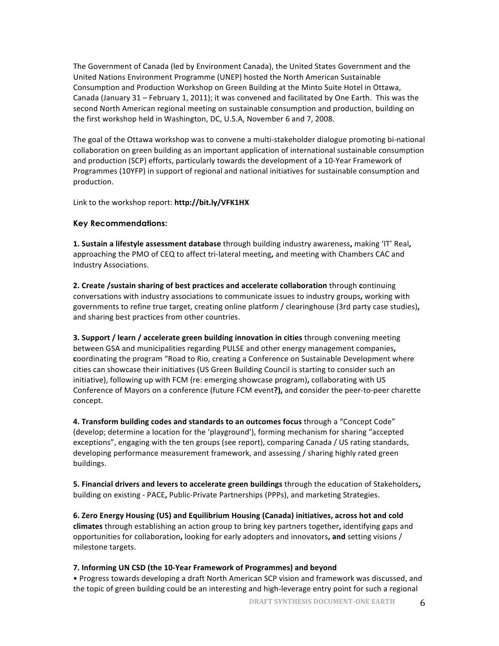The Government of Canada (led by Environment Canada), the United States Government and the United Nations Environment Programme (UNEP) hosted the North American Sustainable Consumption and Production Workshop on Green Building at the Minto Suite Hotel in Ottawa, Canada (January 31 - February 1, 2011); it was convened and facilitated by One Earth. This was the second North American regional meeting on sustainable consumption and production, building on the first workshop held in Washington, DC, U.S.A, November 6 and 7, 2008.

The goal of the Ottawa workshop was to convene a multi-stakeholder dialogue promoting bi-national collaboration on green building as an important application of international sustainable consumption and production (SCP) efforts, particularly towards the development of a 10-Year Framework of Programmes (10YFP) in support of regional and national initiatives for sustainable consumption and production.

Link to the workshop report: http://bit.ly/VFK1HX

#### **Key Recommendations:**

**1. Sustain a lifestyle assessment database** through building industry awareness, making 'IT' Real, approaching the PMO of CEQ to affect tri-lateral meeting, and meeting with Chambers CAC and Industry Associations. 

**2.** Create /sustain sharing of best practices and accelerate collaboration through continuing conversations with industry associations to communicate issues to industry groups, working with governments to refine true target, creating online platform / clearinghouse (3rd party case studies), and sharing best practices from other countries.

**3. Support / learn / accelerate green building innovation in cities** through convening meeting between GSA and municipalities regarding PULSE and other energy management companies, coordinating the program "Road to Rio, creating a Conference on Sustainable Development where cities can showcase their initiatives (US Green Building Council is starting to consider such an initiative), following up with FCM (re: emerging showcase program), collaborating with US Conference of Mayors on a conference (future FCM event?), and consider the peer-to-peer charette concept. 

**4. Transform building codes and standards to an outcomes focus** through a "Concept Code" (develop; determine a location for the 'playground'), forming mechanism for sharing "accepted exceptions", engaging with the ten groups (see report), comparing Canada / US rating standards, developing performance measurement framework, and assessing / sharing highly rated green buildings. 

**5. Financial drivers and levers to accelerate green buildings** through the education of Stakeholders, building on existing - PACE, Public-Private Partnerships (PPPs), and marketing Strategies.

6. Zero Energy Housing (US) and Equilibrium Housing (Canada) initiatives, across hot and cold **climates** through establishing an action group to bring key partners together, identifying gaps and opportunities for collaboration, looking for early adopters and innovators, and setting visions / milestone targets.

#### **7.** Informing UN CSD (the 10-Year Framework of Programmes) and beyond

• Progress towards developing a draft North American SCP vision and framework was discussed, and the topic of green building could be an interesting and high-leverage entry point for such a regional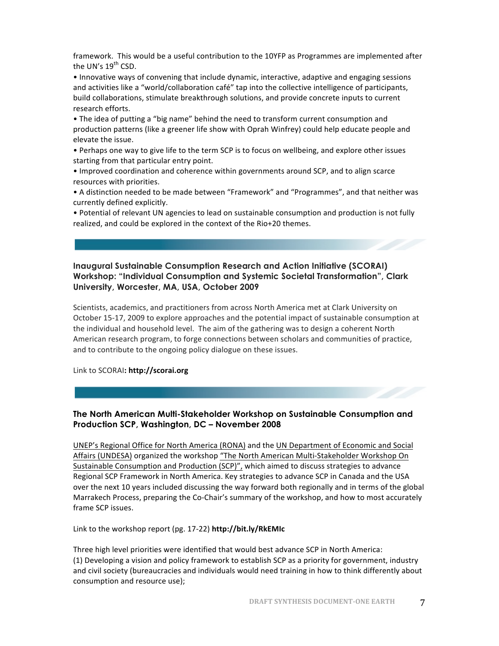framework. This would be a useful contribution to the 10YFP as Programmes are implemented after the UN's 19<sup>th</sup> CSD.

• Innovative ways of convening that include dynamic, interactive, adaptive and engaging sessions and activities like a "world/collaboration café" tap into the collective intelligence of participants, build collaborations, stimulate breakthrough solutions, and provide concrete inputs to current research efforts.

• The idea of putting a "big name" behind the need to transform current consumption and production patterns (like a greener life show with Oprah Winfrey) could help educate people and elevate the issue.

• Perhaps one way to give life to the term SCP is to focus on wellbeing, and explore other issues starting from that particular entry point.

• Improved coordination and coherence within governments around SCP, and to align scarce resources with priorities.

• A distinction needed to be made between "Framework" and "Programmes", and that neither was currently defined explicitly.

• Potential of relevant UN agencies to lead on sustainable consumption and production is not fully realized, and could be explored in the context of the Rio+20 themes.

#### **Inaugural Sustainable Consumption Research and Action Initiative (SCORAI) Workshop: "Individual Consumption and Systemic Societal Transformation", Clark University, Worcester, MA, USA, October 2009**

Scientists, academics, and practitioners from across North America met at Clark University on October 15-17, 2009 to explore approaches and the potential impact of sustainable consumption at the individual and household level. The aim of the gathering was to design a coherent North American research program, to forge connections between scholars and communities of practice, and to contribute to the ongoing policy dialogue on these issues.

#### Link to SCORAI**: http://scorai.org**

#### **The North American Multi-Stakeholder Workshop on Sustainable Consumption and Production SCP, Washington, DC – November 2008**

UNEP's Regional Office for North America (RONA) and the UN Department of Economic and Social Affairs (UNDESA) organized the workshop "The North American Multi-Stakeholder Workshop On Sustainable Consumption and Production (SCP)", which aimed to discuss strategies to advance Regional SCP Framework in North America. Key strategies to advance SCP in Canada and the USA over the next 10 years included discussing the way forward both regionally and in terms of the global Marrakech Process, preparing the Co-Chair's summary of the workshop, and how to most accurately frame SCP issues.

Link to the workshop report (pg. 17-22) http://bit.ly/RkEMIc

Three high level priorities were identified that would best advance SCP in North America: (1) Developing a vision and policy framework to establish SCP as a priority for government, industry and civil society (bureaucracies and individuals would need training in how to think differently about consumption and resource use);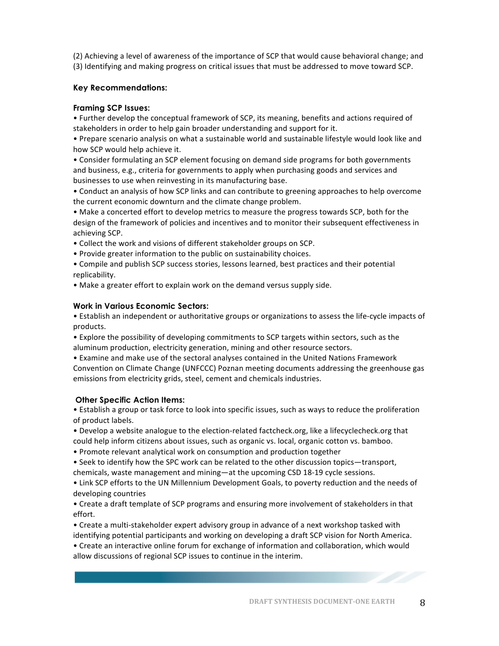(2) Achieving a level of awareness of the importance of SCP that would cause behavioral change; and (3) Identifying and making progress on critical issues that must be addressed to move toward SCP.

#### **Key Recommendations:**

#### **Framing SCP Issues:**

• Further develop the conceptual framework of SCP, its meaning, benefits and actions required of stakeholders in order to help gain broader understanding and support for it.

• Prepare scenario analysis on what a sustainable world and sustainable lifestyle would look like and how SCP would help achieve it.

• Consider formulating an SCP element focusing on demand side programs for both governments and business, e.g., criteria for governments to apply when purchasing goods and services and businesses to use when reinvesting in its manufacturing base.

• Conduct an analysis of how SCP links and can contribute to greening approaches to help overcome the current economic downturn and the climate change problem.

• Make a concerted effort to develop metrics to measure the progress towards SCP, both for the design of the framework of policies and incentives and to monitor their subsequent effectiveness in achieving SCP.

• Collect the work and visions of different stakeholder groups on SCP.

• Provide greater information to the public on sustainability choices.

• Compile and publish SCP success stories, lessons learned, best practices and their potential replicability. 

• Make a greater effort to explain work on the demand versus supply side.

#### **Work in Various Economic Sectors:**

• Establish an independent or authoritative groups or organizations to assess the life-cycle impacts of products. 

• Explore the possibility of developing commitments to SCP targets within sectors, such as the aluminum production, electricity generation, mining and other resource sectors.

• Examine and make use of the sectoral analyses contained in the United Nations Framework Convention on Climate Change (UNFCCC) Poznan meeting documents addressing the greenhouse gas emissions from electricity grids, steel, cement and chemicals industries.

#### **Other Specific Action Items:**

• Establish a group or task force to look into specific issues, such as ways to reduce the proliferation of product labels.

• Develop a website analogue to the election-related factcheck.org, like a lifecyclecheck.org that could help inform citizens about issues, such as organic vs. local, organic cotton vs. bamboo.

• Promote relevant analytical work on consumption and production together

• Seek to identify how the SPC work can be related to the other discussion topics—transport,

chemicals, waste management and mining—at the upcoming CSD 18-19 cycle sessions.

• Link SCP efforts to the UN Millennium Development Goals, to poverty reduction and the needs of developing countries

• Create a draft template of SCP programs and ensuring more involvement of stakeholders in that effort. 

• Create a multi-stakeholder expert advisory group in advance of a next workshop tasked with identifying potential participants and working on developing a draft SCP vision for North America.

• Create an interactive online forum for exchange of information and collaboration, which would allow discussions of regional SCP issues to continue in the interim.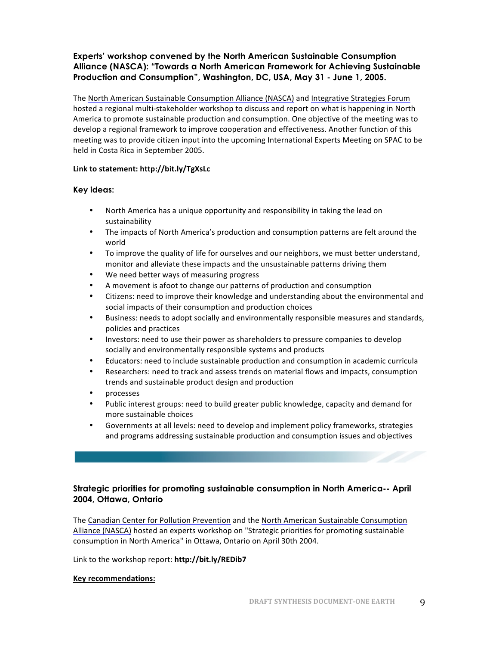#### **Experts' workshop convened by the North American Sustainable Consumption Alliance (NASCA): "Towards a North American Framework for Achieving Sustainable Production and Consumption", Washington, DC, USA, May 31 - June 1, 2005.**

The North American Sustainable Consumption Alliance (NASCA) and Integrative Strategies Forum hosted a regional multi-stakeholder workshop to discuss and report on what is happening in North America to promote sustainable production and consumption. One objective of the meeting was to develop a regional framework to improve cooperation and effectiveness. Another function of this meeting was to provide citizen input into the upcoming International Experts Meeting on SPAC to be held in Costa Rica in September 2005.

#### **Link to statement: http://bit.ly/TgXsLc**

#### **Key ideas:**

- North America has a unique opportunity and responsibility in taking the lead on sustainability
- The impacts of North America's production and consumption patterns are felt around the world
- To improve the quality of life for ourselves and our neighbors, we must better understand, monitor and alleviate these impacts and the unsustainable patterns driving them
- We need better ways of measuring progress
- A movement is afoot to change our patterns of production and consumption
- Citizens: need to improve their knowledge and understanding about the environmental and social impacts of their consumption and production choices
- Business: needs to adopt socially and environmentally responsible measures and standards, policies and practices
- Investors: need to use their power as shareholders to pressure companies to develop socially and environmentally responsible systems and products
- Educators: need to include sustainable production and consumption in academic curricula
- Researchers: need to track and assess trends on material flows and impacts, consumption trends and sustainable product design and production
- processes
- Public interest groups: need to build greater public knowledge, capacity and demand for more sustainable choices
- Governments at all levels: need to develop and implement policy frameworks, strategies and programs addressing sustainable production and consumption issues and objectives

#### **Strategic priorities for promoting sustainable consumption in North America-- April 2004, Ottawa, Ontario**

The Canadian Center for Pollution Prevention and the North American Sustainable Consumption Alliance (NASCA) hosted an experts workshop on "Strategic priorities for promoting sustainable consumption in North America" in Ottawa, Ontario on April 30th 2004.

Link to the workshop report: http://bit.ly/REDib7

#### **Key recommendations:**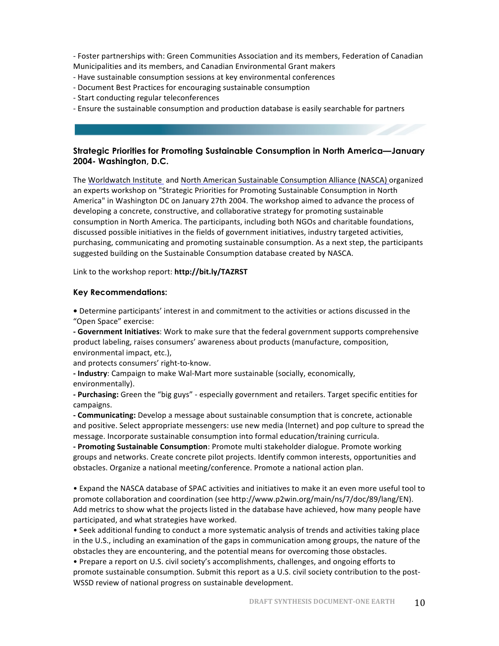- Foster partnerships with: Green Communities Association and its members, Federation of Canadian Municipalities and its members, and Canadian Environmental Grant makers

- Have sustainable consumption sessions at key environmental conferences
- Document Best Practices for encouraging sustainable consumption
- Start conducting regular teleconferences
- Ensure the sustainable consumption and production database is easily searchable for partners

#### **Strategic Priorities for Promoting Sustainable Consumption in North America—January 2004- Washington, D.C.**

The Worldwatch Institute and North American Sustainable Consumption Alliance (NASCA) organized an experts workshop on "Strategic Priorities for Promoting Sustainable Consumption in North America" in Washington DC on January 27th 2004. The workshop aimed to advance the process of developing a concrete, constructive, and collaborative strategy for promoting sustainable consumption in North America. The participants, including both NGOs and charitable foundations, discussed possible initiatives in the fields of government initiatives, industry targeted activities, purchasing, communicating and promoting sustainable consumption. As a next step, the participants suggested building on the Sustainable Consumption database created by NASCA.

Link to the workshop report: http://bit.ly/TAZRST

#### **Key Recommendations:**

• Determine participants' interest in and commitment to the activities or actions discussed in the "Open Space" exercise:

**- Government Initiatives**: Work to make sure that the federal government supports comprehensive product labeling, raises consumers' awareness about products (manufacture, composition, environmental impact, etc.),

and protects consumers' right-to-know.

**- Industry**: Campaign to make Wal-Mart more sustainable (socially, economically, environmentally).

- **Purchasing:** Green the "big guys" - especially government and retailers. Target specific entities for campaigns.

**- Communicating:** Develop a message about sustainable consumption that is concrete, actionable and positive. Select appropriate messengers: use new media (Internet) and pop culture to spread the message. Incorporate sustainable consumption into formal education/training curricula.

**- Promoting Sustainable Consumption**: Promote multi stakeholder dialogue. Promote working groups and networks. Create concrete pilot projects. Identify common interests, opportunities and obstacles. Organize a national meeting/conference. Promote a national action plan.

• Expand the NASCA database of SPAC activities and initiatives to make it an even more useful tool to promote collaboration and coordination (see http://www.p2win.org/main/ns/7/doc/89/lang/EN). Add metrics to show what the projects listed in the database have achieved, how many people have participated, and what strategies have worked.

• Seek additional funding to conduct a more systematic analysis of trends and activities taking place in the U.S., including an examination of the gaps in communication among groups, the nature of the obstacles they are encountering, and the potential means for overcoming those obstacles.

• Prepare a report on U.S. civil society's accomplishments, challenges, and ongoing efforts to promote sustainable consumption. Submit this report as a U.S. civil society contribution to the post-WSSD review of national progress on sustainable development.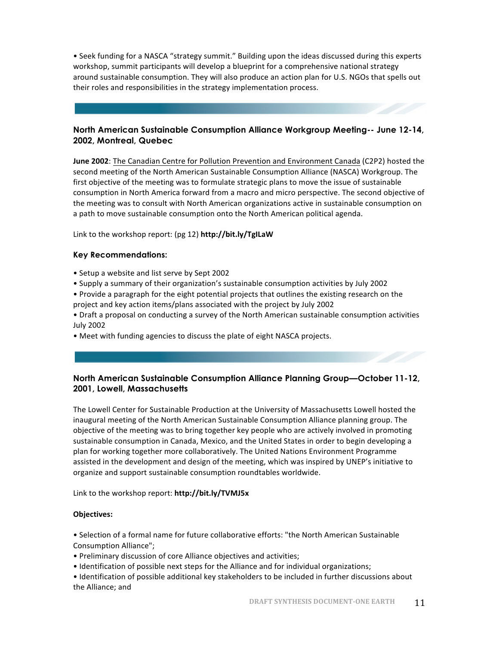• Seek funding for a NASCA "strategy summit." Building upon the ideas discussed during this experts workshop, summit participants will develop a blueprint for a comprehensive national strategy around sustainable consumption. They will also produce an action plan for U.S. NGOs that spells out their roles and responsibilities in the strategy implementation process.

#### **North American Sustainable Consumption Alliance Workgroup Meeting-- June 12-14, 2002, Montreal, Quebec**

**June 2002**: The Canadian Centre for Pollution Prevention and Environment Canada (C2P2) hosted the second meeting of the North American Sustainable Consumption Alliance (NASCA) Workgroup. The first objective of the meeting was to formulate strategic plans to move the issue of sustainable consumption in North America forward from a macro and micro perspective. The second objective of the meeting was to consult with North American organizations active in sustainable consumption on a path to move sustainable consumption onto the North American political agenda.

Link to the workshop report: (pg 12) http://bit.ly/TgILaW

#### **Key Recommendations:**

- Setup a website and list serve by Sept 2002
- Supply a summary of their organization's sustainable consumption activities by July 2002
- Provide a paragraph for the eight potential projects that outlines the existing research on the project and key action items/plans associated with the project by July 2002
- Draft a proposal on conducting a survey of the North American sustainable consumption activities July 2002
- Meet with funding agencies to discuss the plate of eight NASCA projects.

#### **North American Sustainable Consumption Alliance Planning Group—October 11-12, 2001, Lowell, Massachusetts**

The Lowell Center for Sustainable Production at the University of Massachusetts Lowell hosted the inaugural meeting of the North American Sustainable Consumption Alliance planning group. The objective of the meeting was to bring together key people who are actively involved in promoting sustainable consumption in Canada, Mexico, and the United States in order to begin developing a plan for working together more collaboratively. The United Nations Environment Programme assisted in the development and design of the meeting, which was inspired by UNEP's initiative to organize and support sustainable consumption roundtables worldwide.

Link to the workshop report: http://bit.ly/TVMJ5x

#### **Objectives:**

• Selection of a formal name for future collaborative efforts: "the North American Sustainable Consumption Alliance"; 

• Preliminary discussion of core Alliance objectives and activities;

• Identification of possible next steps for the Alliance and for individual organizations;

• Identification of possible additional key stakeholders to be included in further discussions about the Alliance; and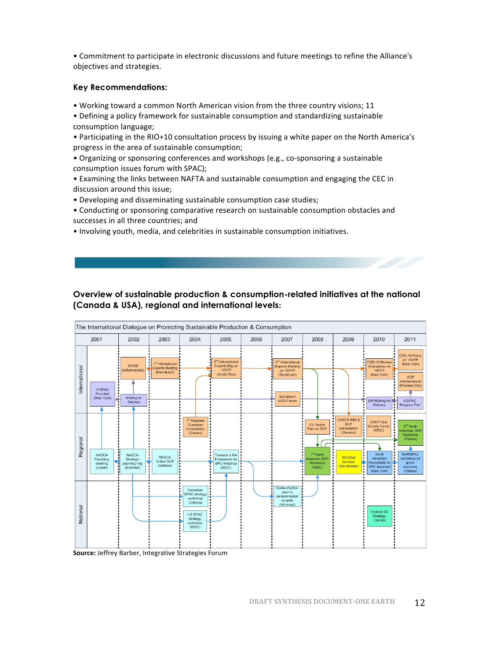• Commitment to participate in electronic discussions and future meetings to refine the Alliance's objectives and strategies.

#### **Key Recommendations:**

• Working toward a common North American vision from the three country visions; 11

- Defining a policy framework for sustainable consumption and standardizing sustainable consumption language;
- Participating in the RIO+10 consultation process by issuing a white paper on the North America's progress in the area of sustainable consumption;
- Organizing or sponsoring conferences and workshops (e.g., co-sponsoring a sustainable consumption issues forum with SPAC);
- Examining the links between NAFTA and sustainable consumption and engaging the CEC in discussion around this issue;
- Developing and disseminating sustainable consumption case studies;
- Conducting or sponsoring comparative research on sustainable consumption obstacles and successes in all three countries; and
- Involving youth, media, and celebrities in sustainable consumption initiatives.

#### **Overview of sustainable production & consumption-related initiatives at the national (Canada & USA), regional and international levels:**



Source: Jeffrey Barber, Integrative Strategies Forum